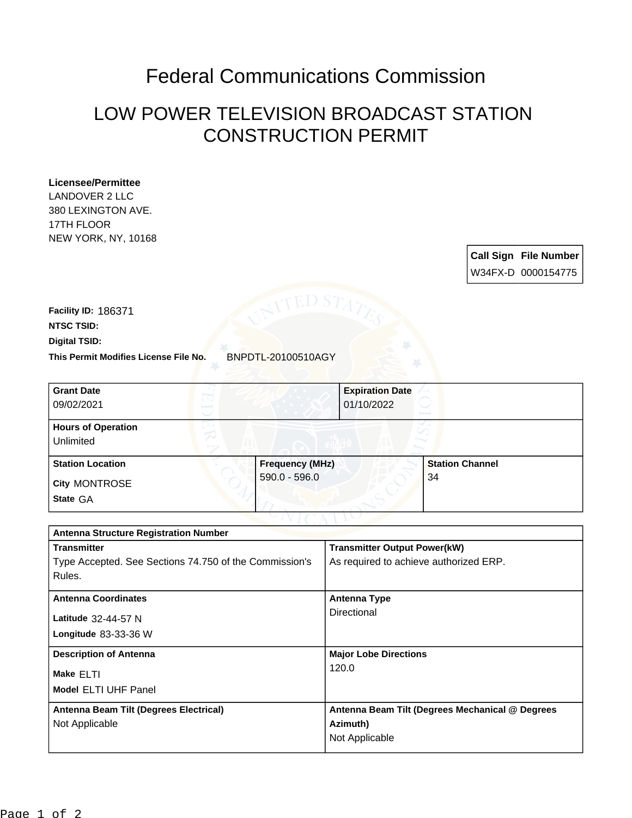## Federal Communications Commission

## LOW POWER TELEVISION BROADCAST STATION CONSTRUCTION PERMIT

## **Licensee/Permittee**

LANDOVER 2 LLC 380 LEXINGTON AVE. 17TH FLOOR NEW YORK, NY, 10168

> **Call Sign File Number** W34FX-D 0000154775

**This Permit Modifies License File No.** BNPDTL-20100510AGY **Digital TSID: NTSC TSID: Facility ID:** 186371

| <b>Grant Date</b><br>09/02/2021        |                        | <b>Expiration Date</b><br>01/10/2022 |
|----------------------------------------|------------------------|--------------------------------------|
| <b>Hours of Operation</b><br>Unlimited |                        |                                      |
| <b>Station Location</b>                | <b>Frequency (MHz)</b> | <b>Station Channel</b>               |
| <b>City MONTROSE</b><br>State GA       | $590.0 - 596.0$        | 34                                   |

| <b>Antenna Structure Registration Number</b>           |                                                 |  |  |
|--------------------------------------------------------|-------------------------------------------------|--|--|
| <b>Transmitter</b>                                     | <b>Transmitter Output Power(kW)</b>             |  |  |
| Type Accepted. See Sections 74.750 of the Commission's | As required to achieve authorized ERP.          |  |  |
| Rules.                                                 |                                                 |  |  |
| <b>Antenna Coordinates</b>                             | <b>Antenna Type</b>                             |  |  |
| Latitude 32-44-57 N                                    | Directional                                     |  |  |
| Longitude $83-33-36$ W                                 |                                                 |  |  |
| <b>Description of Antenna</b>                          | <b>Major Lobe Directions</b>                    |  |  |
| Make ELTI                                              | 120.0                                           |  |  |
| <b>Model ELTI UHF Panel</b>                            |                                                 |  |  |
| Antenna Beam Tilt (Degrees Electrical)                 | Antenna Beam Tilt (Degrees Mechanical @ Degrees |  |  |
| Not Applicable                                         | Azimuth)                                        |  |  |
|                                                        | Not Applicable                                  |  |  |